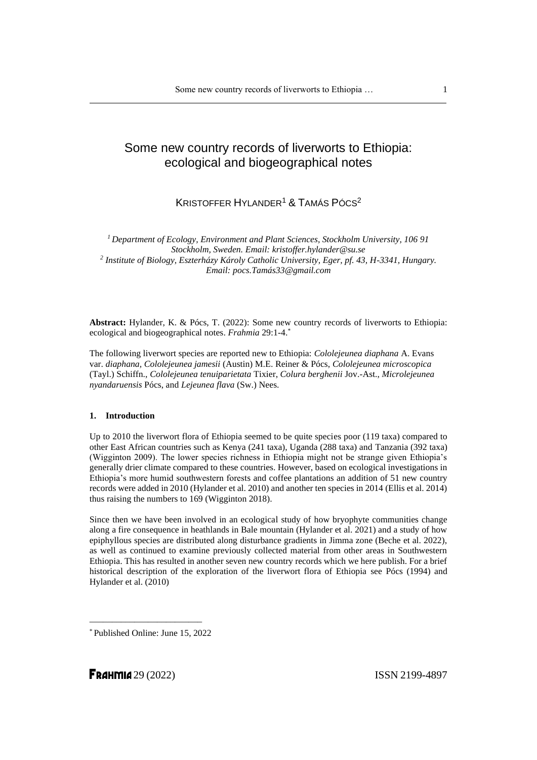# Some new country records of liverworts to Ethiopia: ecological and biogeographical notes

## KRISTOFFER HYLANDER<sup>1</sup> & TAMÁS PÓCS<sup>2</sup>

*<sup>1</sup>Department of Ecology, Environment and Plant Sciences, Stockholm University, 106 91 Stockholm, Sweden. Email: kristoffer.hylander@su.se 2 Institute of Biology, Eszterházy Károly Catholic University, Eger, pf. 43, H-3341, Hungary. Email: pocs.Tamás33@gmail.com*

**Abstract:** Hylander, K. & Pócs, T. (2022): Some new country records of liverworts to Ethiopia: ecological and biogeographical notes. *Frahmia* 29:1-4. \*

The following liverwort species are reported new to Ethiopia: *Cololejeunea diaphana* A. Evans var. *diaphana, Cololejeunea jamesii* (Austin) M.E. Reiner & Pócs, *Cololejeunea microscopica* (Tayl.) Schiffn., *Cololejeunea tenuiparietata* Tixier, *Colura berghenii* Jov.-Ast., *Microlejeunea nyandaruensis* Pócs, and *Lejeunea flava* (Sw.) Nees.

### **1. Introduction**

Up to 2010 the liverwort flora of Ethiopia seemed to be quite species poor (119 taxa) compared to other East African countries such as Kenya (241 taxa), Uganda (288 taxa) and Tanzania (392 taxa) (Wigginton 2009). The lower species richness in Ethiopia might not be strange given Ethiopia's generally drier climate compared to these countries. However, based on ecological investigations in Ethiopia's more humid southwestern forests and coffee plantations an addition of 51 new country records were added in 2010 (Hylander et al. 2010) and another ten species in 2014 (Ellis et al. 2014) thus raising the numbers to 169 (Wigginton 2018).

Since then we have been involved in an ecological study of how bryophyte communities change along a fire consequence in heathlands in Bale mountain (Hylander et al. 2021) and a study of how epiphyllous species are distributed along disturbance gradients in Jimma zone (Beche et al. 2022), as well as continued to examine previously collected material from other areas in Southwestern Ethiopia. This has resulted in another seven new country records which we here publish. For a brief historical description of the exploration of the liverwort flora of Ethiopia see Pócs (1994) and Hylander et al. (2010)

\* Published Online: June 15, 2022

\_\_\_\_\_\_\_\_\_\_\_\_\_\_\_\_\_\_\_\_\_\_\_\_\_

**FRAHMIA** 29 (2022) **ISSN 2199-4897** 

1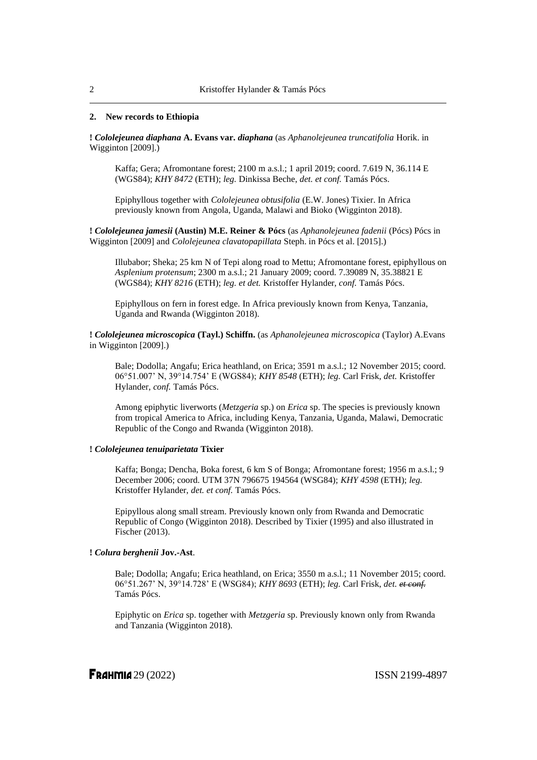## **2. New records to Ethiopia**

**!** *Cololejeunea diaphana* **A. Evans var.** *diaphana* (as *Aphanolejeunea truncatifolia* Horik. in Wigginton [2009].)

Kaffa; Gera; Afromontane forest; 2100 m a.s.l.; 1 april 2019; coord. 7.619 N, 36.114 E (WGS84); *KHY 8472* (ETH); *leg.* Dinkissa Beche, *det. et conf.* Tamás Pócs.

Epiphyllous together with *Cololejeunea obtusifolia* (E.W. Jones) Tixier. In Africa previously known from Angola, Uganda, Malawi and Bioko (Wigginton 2018).

**!** *Cololejeunea jamesii* **(Austin) M.E. Reiner & Pócs** (as *Aphanolejeunea fadenii* (Pócs) Pócs in Wigginton [2009] and *Cololejeunea clavatopapillata* Steph. in Pócs et al. [2015].)

Illubabor; Sheka; 25 km N of Tepi along road to Mettu; Afromontane forest, epiphyllous on *Asplenium protensum*; 2300 m a.s.l.; 21 January 2009; coord. 7.39089 N, 35.38821 E (WGS84); *KHY 8216* (ETH); *leg. et det.* Kristoffer Hylander, *conf.* Tamás Pócs.

Epiphyllous on fern in forest edge. In Africa previously known from Kenya, Tanzania, Uganda and Rwanda (Wigginton 2018).

**!** *Cololejeunea microscopica* **(Tayl.) Schiffn.** (as *Aphanolejeunea microscopica* (Taylor) A.Evans in Wigginton [2009].)

Bale; Dodolla; Angafu; Erica heathland, on Erica; 3591 m a.s.l.; 12 November 2015; coord. 06°51.007' N, 39°14.754' E (WGS84); *KHY 8548* (ETH); *leg.* Carl Frisk, *det.* Kristoffer Hylander, *conf.* Tamás Pócs.

Among epiphytic liverworts (*Metzgeria* sp.) on *Erica* sp. The species is previously known from tropical America to Africa, including Kenya, Tanzania, Uganda, Malawi, Democratic Republic of the Congo and Rwanda (Wigginton 2018).

## **!** *Cololejeunea tenuiparietata* **Tixier**

Kaffa; Bonga; Dencha, Boka forest, 6 km S of Bonga; Afromontane forest; 1956 m a.s.l.; 9 December 2006; coord. UTM 37N 796675 194564 (WSG84); *KHY 4598* (ETH); *leg.* Kristoffer Hylander, *det. et conf.* Tamás Pócs.

Epipyllous along small stream. Previously known only from Rwanda and Democratic Republic of Congo (Wigginton 2018). Described by Tixier (1995) and also illustrated in Fischer (2013).

## **!** *Colura berghenii* **Jov.-Ast**.

Bale; Dodolla; Angafu; Erica heathland, on Erica; 3550 m a.s.l.; 11 November 2015; coord. 06°51.267' N, 39°14.728' E (WSG84); *KHY 8693* (ETH); *leg.* Carl Frisk, *det. et conf.* Tamás Pócs.

Epiphytic on *Erica* sp. together with *Metzgeria* sp. Previously known only from Rwanda and Tanzania (Wigginton 2018).

**FRAHMIA** 29 (2022) **ISSN 2199-4897**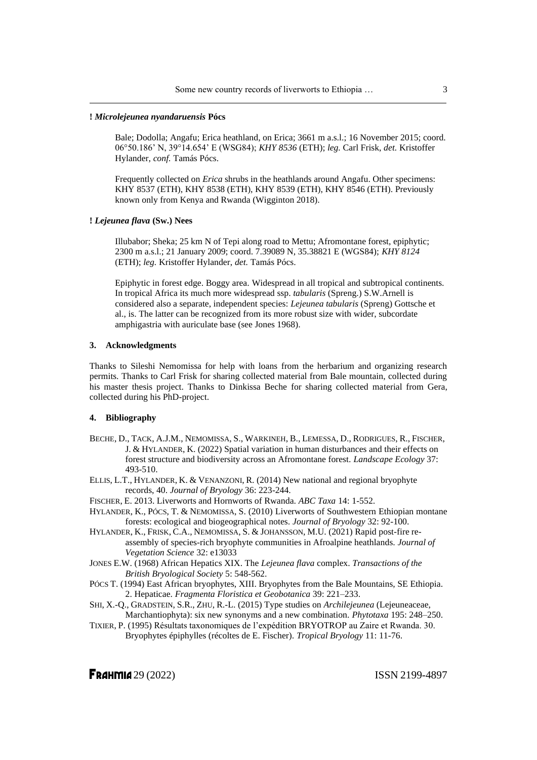## **!** *Microlejeunea nyandaruensis* **Pócs**

Bale; Dodolla; Angafu; Erica heathland, on Erica; 3661 m a.s.l.; 16 November 2015; coord. 06°50.186' N, 39°14.654' E (WSG84); *KHY 8536* (ETH); *leg.* Carl Frisk, *det.* Kristoffer Hylander, *conf.* Tamás Pócs.

Frequently collected on *Erica* shrubs in the heathlands around Angafu. Other specimens: KHY 8537 (ETH), KHY 8538 (ETH), KHY 8539 (ETH), KHY 8546 (ETH). Previously known only from Kenya and Rwanda (Wigginton 2018).

#### **!** *Lejeunea flava* **(Sw.) Nees**

Illubabor; Sheka; 25 km N of Tepi along road to Mettu; Afromontane forest, epiphytic; 2300 m a.s.l.; 21 January 2009; coord. 7.39089 N, 35.38821 E (WGS84); *KHY 8124* (ETH); *leg.* Kristoffer Hylander, *det.* Tamás Pócs.

Epiphytic in forest edge. Boggy area. Widespread in all tropical and subtropical continents. In tropical Africa its much more widespread ssp. *tabularis* (Spreng.) S.W.Arnell is considered also a separate, independent species: *Lejeunea tabularis* (Spreng) Gottsche et al., is. The latter can be recognized from its more robust size with wider, subcordate amphigastria with auriculate base (see Jones 1968).

### **3. Acknowledgments**

Thanks to Sileshi Nemomissa for help with loans from the herbarium and organizing research permits. Thanks to Carl Frisk for sharing collected material from Bale mountain, collected during his master thesis project. Thanks to Dinkissa Beche for sharing collected material from Gera, collected during his PhD-project.

## **4. Bibliography**

- BECHE, D., TACK, A.J.M., NEMOMISSA, S., WARKINEH, B., LEMESSA, D., RODRIGUES, R., FISCHER, J. & HYLANDER, K. (2022) Spatial variation in human disturbances and their effects on forest structure and biodiversity across an Afromontane forest. *Landscape Ecology* 37: 493-510.
- ELLIS, L.T., HYLANDER, K. & VENANZONI, R. (2014) New national and regional bryophyte records, 40. *Journal of Bryology* 36: 223-244.
- FISCHER, E. 2013. Liverworts and Hornworts of Rwanda. *ABC Taxa* 14: 1-552.
- HYLANDER, K., PÓCS, T. & NEMOMISSA, S. (2010) Liverworts of Southwestern Ethiopian montane forests: ecological and biogeographical notes. *Journal of Bryology* 32: 92-100.
- HYLANDER, K., FRISK, C.A., NEMOMISSA, S. & JOHANSSON, M.U. (2021) Rapid post-fire reassembly of species-rich bryophyte communities in Afroalpine heathlands. *Journal of Vegetation Science* 32: e13033
- JONES E.W. (1968) African Hepatics XIX. The *Lejeunea flava* complex. *Transactions of the British Bryological Society* 5: 548-562.
- PÓCS T. (1994) East African bryophytes, XIII. Bryophytes from the Bale Mountains, SE Ethiopia. 2. Hepaticae. *Fragmenta Floristica et Geobotanica* 39: 221–233.
- SHI, X.-Q., GRADSTEIN, S.R., ZHU, R.-L. (2015) Type studies on *Archilejeunea* (Lejeuneaceae, Marchantiophyta): six new synonyms and a new combination. *Phytotaxa* 195: 248–250.
- TIXIER, P. (1995) Résultats taxonomiques de l'expédition BRYOTROP au Zaire et Rwanda. 30. Bryophytes épiphylles (récoltes de E. Fischer). *Tropical Bryology* 11: 11-76.

**FRAHMIA** 29 (2022) **ISSN 2199-4897**